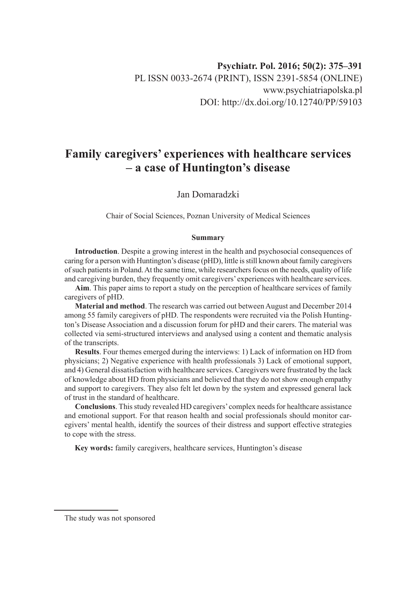# **Family caregivers' experiences with healthcare services – a case of Huntington's disease**

# Jan Domaradzki

Chair of Social Sciences, Poznan University of Medical Sciences

#### **Summary**

**Introduction**. Despite a growing interest in the health and psychosocial consequences of caring for a person with Huntington's disease (pHD), little is still known about family caregivers of such patients in Poland. At the same time, while researchers focus on the needs, quality of life and caregiving burden, they frequently omit caregivers' experiences with healthcare services.

**Aim**. This paper aims to report a study on the perception of healthcare services of family caregivers of pHD.

**Material and method**. The research was carried out between August and December 2014 among 55 family caregivers of pHD. The respondents were recruited via the Polish Huntington's Disease Association and a discussion forum for pHD and their carers. The material was collected via semi-structured interviews and analysed using a content and thematic analysis of the transcripts.

**Results**. Four themes emerged during the interviews: 1) Lack of information on HD from physicians; 2) Negative experience with health professionals 3) Lack of emotional support, and 4) General dissatisfaction with healthcare services. Caregivers were frustrated by the lack of knowledge about HD from physicians and believed that they do not show enough empathy and support to caregivers. They also felt let down by the system and expressed general lack of trust in the standard of healthcare.

**Conclusions**. This study revealed HD caregivers' complex needs for healthcare assistance and emotional support. For that reason health and social professionals should monitor caregivers' mental health, identify the sources of their distress and support effective strategies to cope with the stress.

**Key words:** family caregivers, healthcare services, Huntington's disease

The study was not sponsored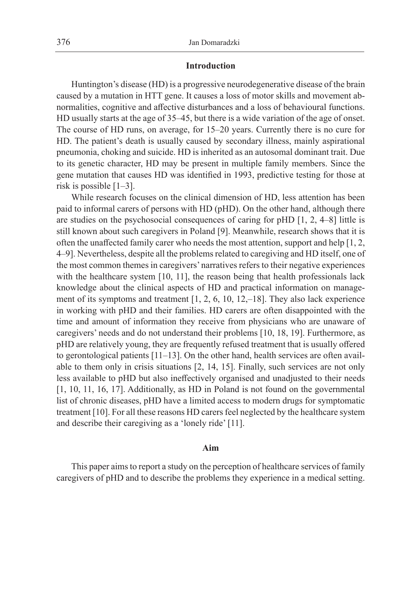## **Introduction**

Huntington's disease (HD) is a progressive neurodegenerative disease of the brain caused by a mutation in HTT gene. It causes a loss of motor skills and movement abnormalities, cognitive and affective disturbances and a loss of behavioural functions. HD usually starts at the age of 35–45, but there is a wide variation of the age of onset. The course of HD runs, on average, for 15–20 years. Currently there is no cure for HD. The patient's death is usually caused by secondary illness, mainly aspirational pneumonia, choking and suicide. HD is inherited as an autosomal dominant trait. Due to its genetic character, HD may be present in multiple family members. Since the gene mutation that causes HD was identified in 1993, predictive testing for those at risk is possible  $[1-3]$ .

While research focuses on the clinical dimension of HD, less attention has been paid to informal carers of persons with HD (pHD). On the other hand, although there are studies on the psychosocial consequences of caring for pHD [1, 2, 4–8] little is still known about such caregivers in Poland [9]. Meanwhile, research shows that it is often the unaffected family carer who needs the most attention, support and help [1, 2, 4–9]. Nevertheless, despite all the problems related to caregiving and HD itself, one of the most common themes in caregivers' narratives refers to their negative experiences with the healthcare system [10, 11], the reason being that health professionals lack knowledge about the clinical aspects of HD and practical information on management of its symptoms and treatment  $[1, 2, 6, 10, 12, -18]$ . They also lack experience in working with pHD and their families. HD carers are often disappointed with the time and amount of information they receive from physicians who are unaware of caregivers' needs and do not understand their problems [10, 18, 19]. Furthermore, as pHD are relatively young, they are frequently refused treatment that is usually offered to gerontological patients  $[11-13]$ . On the other hand, health services are often available to them only in crisis situations [2, 14, 15]. Finally, such services are not only less available to pHD but also ineffectively organised and unadjusted to their needs [1, 10, 11, 16, 17]. Additionally, as HD in Poland is not found on the governmental list of chronic diseases, pHD have a limited access to modern drugs for symptomatic treatment [10]. For all these reasons HD carers feel neglected by the healthcare system and describe their caregiving as a 'lonely ride' [11].

#### **Aim**

This paper aims to report a study on the perception of healthcare services of family caregivers of pHD and to describe the problems they experience in a medical setting.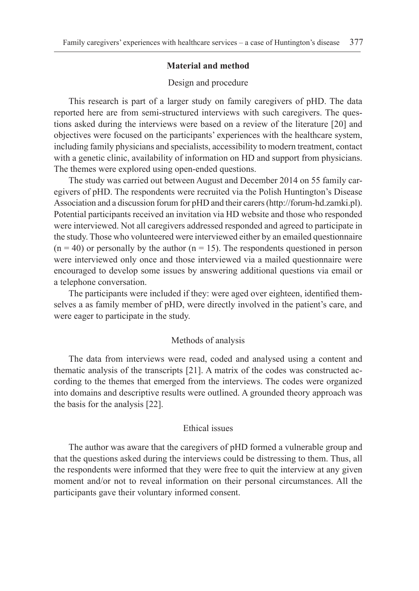# **Material and method**

# Design and procedure

This research is part of a larger study on family caregivers of pHD. The data reported here are from semi-structured interviews with such caregivers. The questions asked during the interviews were based on a review of the literature [20] and objectives were focused on the participants' experiences with the healthcare system, including family physicians and specialists, accessibility to modern treatment, contact with a genetic clinic, availability of information on HD and support from physicians. The themes were explored using open-ended questions.

The study was carried out between August and December 2014 on 55 family caregivers of pHD. The respondents were recruited via the Polish Huntington's Disease Association and a discussion forum for pHD and their carers (http://forum-hd.zamki.pl). Potential participants received an invitation via HD website and those who responded were interviewed. Not all caregivers addressed responded and agreed to participate in the study. Those who volunteered were interviewed either by an emailed questionnaire  $(n = 40)$  or personally by the author  $(n = 15)$ . The respondents questioned in person were interviewed only once and those interviewed via a mailed questionnaire were encouraged to develop some issues by answering additional questions via email or a telephone conversation.

The participants were included if they: were aged over eighteen, identified themselves a as family member of pHD, were directly involved in the patient's care, and were eager to participate in the study.

#### Methods of analysis

The data from interviews were read, coded and analysed using a content and thematic analysis of the transcripts [21]. A matrix of the codes was constructed according to the themes that emerged from the interviews. The codes were organized into domains and descriptive results were outlined. A grounded theory approach was the basis for the analysis [22].

# Ethical issues

The author was aware that the caregivers of pHD formed a vulnerable group and that the questions asked during the interviews could be distressing to them. Thus, all the respondents were informed that they were free to quit the interview at any given moment and/or not to reveal information on their personal circumstances. All the participants gave their voluntary informed consent.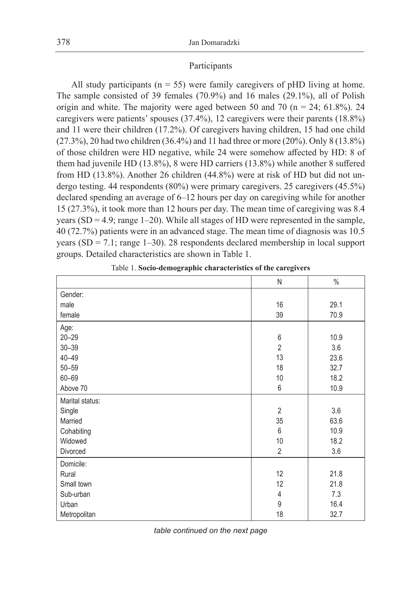# Participants

All study participants ( $n = 55$ ) were family caregivers of pHD living at home. The sample consisted of 39 females (70.9%) and 16 males (29.1%), all of Polish origin and white. The majority were aged between 50 and 70 ( $n = 24$ ; 61.8%). 24 caregivers were patients' spouses (37.4%), 12 caregivers were their parents (18.8%) and 11 were their children (17.2%). Of caregivers having children, 15 had one child (27.3%), 20 had two children (36.4%) and 11 had three or more (20%). Only 8 (13.8%) of those children were HD negative, while 24 were somehow affected by HD: 8 of them had juvenile HD (13.8%), 8 were HD carriers (13.8%) while another 8 suffered from HD (13.8%). Another 26 children (44.8%) were at risk of HD but did not undergo testing. 44 respondents (80%) were primary caregivers. 25 caregivers (45.5%) declared spending an average of 6–12 hours per day on caregiving while for another 15 (27.3%), it took more than 12 hours per day. The mean time of caregiving was 8.4 years (SD = 4.9; range 1–20). While all stages of HD were represented in the sample, 40 (72.7%) patients were in an advanced stage. The mean time of diagnosis was 10.5 years  $(SD = 7.1$ ; range 1–30). 28 respondents declared membership in local support groups. Detailed characteristics are shown in Table 1.

|                 | N                | $\%$ |
|-----------------|------------------|------|
| Gender:         |                  |      |
| male            | 16               | 29.1 |
| female          | 39               | 70.9 |
| Age:            |                  |      |
| $20 - 29$       | $\boldsymbol{6}$ | 10.9 |
| $30 - 39$       | $\overline{2}$   | 3.6  |
| $40 - 49$       | 13               | 23.6 |
| $50 - 59$       | 18               | 32.7 |
| $60 - 69$       | 10               | 18.2 |
| Above 70        | 6                | 10.9 |
| Marital status: |                  |      |
| Single          | $\overline{2}$   | 3.6  |
| Married         | 35               | 63.6 |
| Cohabiting      | 6                | 10.9 |
| Widowed         | 10               | 18.2 |
| Divorced        | $\overline{2}$   | 3.6  |
| Domicile:       |                  |      |
| Rural           | 12               | 21.8 |
| Small town      | 12               | 21.8 |
| Sub-urban       | 4                | 7.3  |
| Urban           | 9                | 16.4 |
| Metropolitan    | 18               | 32.7 |

Table 1. **Socio-demographic characteristics of the caregivers**

*table continued on the next page*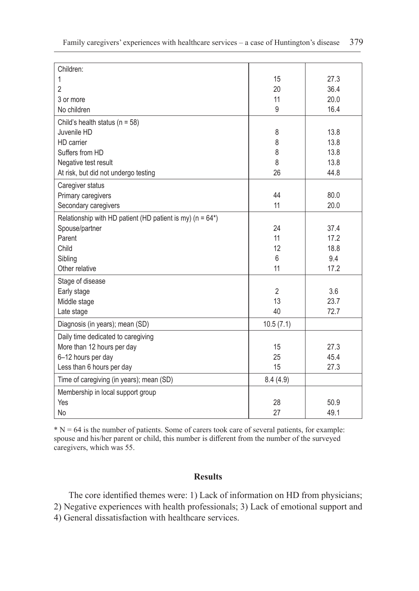| Children:                                                                 |                |      |
|---------------------------------------------------------------------------|----------------|------|
| 1                                                                         | 15             | 27.3 |
| 2                                                                         | 20             | 36.4 |
| 3 or more                                                                 | 11             | 20.0 |
| No children                                                               | 9              | 16.4 |
| Child's health status ( $n = 58$ )                                        |                |      |
| Juvenile HD                                                               | 8              | 13.8 |
| HD carrier                                                                | 8              | 13.8 |
| Suffers from HD                                                           | 8              | 13.8 |
| Negative test result                                                      | 8              | 13.8 |
| At risk, but did not undergo testing                                      | 26             | 44.8 |
| Caregiver status                                                          |                |      |
| Primary caregivers                                                        | 44             | 80.0 |
| Secondary caregivers                                                      | 11             | 20.0 |
| Relationship with HD patient (HD patient is my) ( $n = 64$ <sup>*</sup> ) |                |      |
| Spouse/partner                                                            | 24             | 37.4 |
| Parent                                                                    | 11             | 17.2 |
| Child                                                                     | 12             | 18.8 |
| Sibling                                                                   | 6              | 9.4  |
| Other relative                                                            | 11             | 17.2 |
| Stage of disease                                                          |                |      |
| Early stage                                                               | $\overline{2}$ | 3.6  |
| Middle stage                                                              | 13             | 23.7 |
| Late stage                                                                | 40             | 72.7 |
| Diagnosis (in years); mean (SD)                                           | 10.5(7.1)      |      |
| Daily time dedicated to caregiving                                        |                |      |
| More than 12 hours per day                                                | 15             | 27.3 |
| 6-12 hours per day                                                        | 25             | 45.4 |
| Less than 6 hours per day                                                 | 15             | 27.3 |
| Time of caregiving (in years); mean (SD)                                  | 8.4(4.9)       |      |
| Membership in local support group                                         |                |      |
| Yes                                                                       | 28             | 50.9 |
| <b>No</b>                                                                 | 27             | 49.1 |

 $* N = 64$  is the number of patients. Some of carers took care of several patients, for example: spouse and his/her parent or child, this number is different from the number of the surveyed caregivers, which was 55.

# **Results**

The core identified themes were: 1) Lack of information on HD from physicians; 2) Negative experiences with health professionals; 3) Lack of emotional support and 4) General dissatisfaction with healthcare services.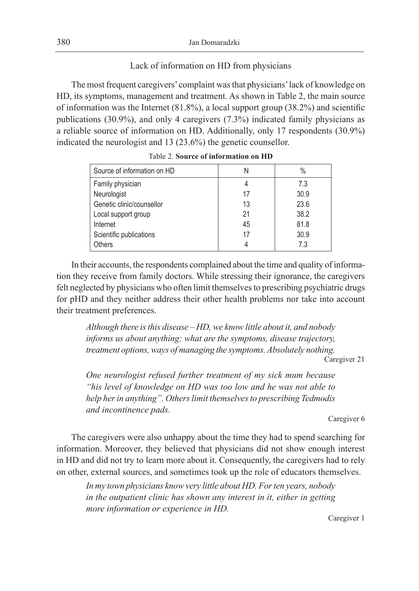# Lack of information on HD from physicians

The most frequent caregivers' complaint was that physicians' lack of knowledge on HD, its symptoms, management and treatment. As shown in Table 2, the main source of information was the Internet (81.8%), a local support group (38.2%) and scientific publications (30.9%), and only 4 caregivers (7.3%) indicated family physicians as a reliable source of information on HD. Additionally, only 17 respondents (30.9%) indicated the neurologist and 13 (23.6%) the genetic counsellor.

| Source of information on HD | Ν  | $\%$ |
|-----------------------------|----|------|
| Family physician            | 4  | 7.3  |
| Neurologist                 | 17 | 30.9 |
| Genetic clinic/counsellor   | 13 | 23.6 |
| Local support group         | 21 | 38.2 |
| Internet                    | 45 | 81.8 |
| Scientific publications     | 17 | 30.9 |
| <b>Others</b>               | 4  | 7.3  |

Table 2. **Source of information on HD**

In their accounts, the respondents complained about the time and quality of information they receive from family doctors. While stressing their ignorance, the caregivers felt neglected by physicians who often limit themselves to prescribing psychiatric drugs for pHD and they neither address their other health problems nor take into account their treatment preferences.

*Although there is this disease – HD, we know little about it, and nobody informs us about anything: what are the symptoms, disease trajectory, treatment options, ways of managing the symptoms. Absolutely nothing.*

Caregiver 21

*One neurologist refused further treatment of my sick mum because "his level of knowledge on HD was too low and he was not able to help her in anything". Others limit themselves to prescribing Tedmodis and incontinence pads.*

Caregiver 6

The caregivers were also unhappy about the time they had to spend searching for information. Moreover, they believed that physicians did not show enough interest in HD and did not try to learn more about it. Consequently, the caregivers had to rely on other, external sources, and sometimes took up the role of educators themselves.

*In my town physicians know very little about HD. For ten years, nobody in the outpatient clinic has shown any interest in it, either in getting more information or experience in HD.*

Caregiver 1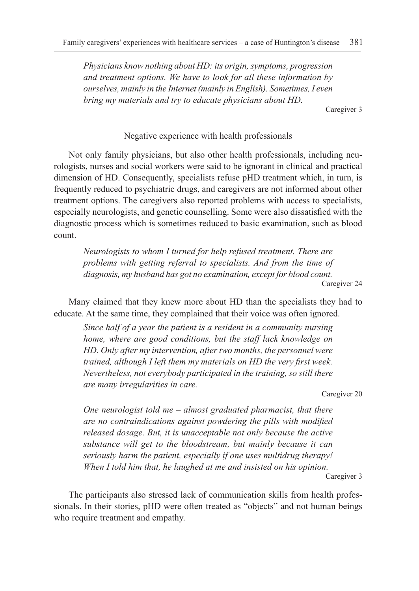*Physicians know nothing about HD: its origin, symptoms, progression and treatment options. We have to look for all these information by ourselves, mainly in the Internet (mainly in English). Sometimes, I even bring my materials and try to educate physicians about HD.*

Caregiver 3

# Negative experience with health professionals

Not only family physicians, but also other health professionals, including neurologists, nurses and social workers were said to be ignorant in clinical and practical dimension of HD. Consequently, specialists refuse pHD treatment which, in turn, is frequently reduced to psychiatric drugs, and caregivers are not informed about other treatment options. The caregivers also reported problems with access to specialists, especially neurologists, and genetic counselling. Some were also dissatisfied with the diagnostic process which is sometimes reduced to basic examination, such as blood count.

*Neurologists to whom I turned for help refused treatment. There are problems with getting referral to specialists. And from the time of diagnosis, my husband has got no examination, except for blood count.* Caregiver 24

Many claimed that they knew more about HD than the specialists they had to educate. At the same time, they complained that their voice was often ignored.

*Since half of a year the patient is a resident in a community nursing home, where are good conditions, but the staff lack knowledge on HD. Only after my intervention, after two months, the personnel were trained, although I left them my materials on HD the very first week. Nevertheless, not everybody participated in the training, so still there are many irregularities in care.*

Caregiver 20

*One neurologist told me – almost graduated pharmacist, that there are no contraindications against powdering the pills with modified released dosage. But, it is unacceptable not only because the active substance will get to the bloodstream, but mainly because it can seriously harm the patient, especially if one uses multidrug therapy! When I told him that, he laughed at me and insisted on his opinion.*

Caregiver 3

The participants also stressed lack of communication skills from health professionals. In their stories, pHD were often treated as "objects" and not human beings who require treatment and empathy.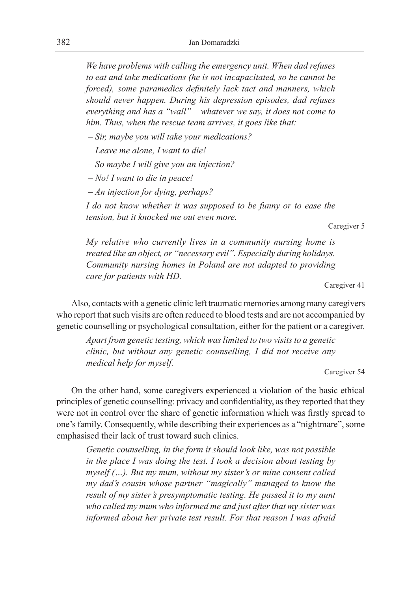*We have problems with calling the emergency unit. When dad refuses to eat and take medications (he is not incapacitated, so he cannot be forced), some paramedics definitely lack tact and manners, which should never happen. During his depression episodes, dad refuses everything and has a "wall" – whatever we say, it does not come to him. Thus, when the rescue team arrives, it goes like that:*

 *– Sir, maybe you will take your medications?*

 *– Leave me alone, I want to die!*

 *– So maybe I will give you an injection?*

 *– No! I want to die in peace!*

 *– An injection for dying, perhaps?*

*I do not know whether it was supposed to be funny or to ease the tension, but it knocked me out even more.*

Caregiver 5

*My relative who currently lives in a community nursing home is treated like an object, or "necessary evil". Especially during holidays. Community nursing homes in Poland are not adapted to providing care for patients with HD.*

Caregiver 41

Also, contacts with a genetic clinic left traumatic memories among many caregivers who report that such visits are often reduced to blood tests and are not accompanied by genetic counselling or psychological consultation, either for the patient or a caregiver.

*Apart from genetic testing, which was limited to two visits to a genetic clinic, but without any genetic counselling, I did not receive any medical help for myself.*

Caregiver 54

On the other hand, some caregivers experienced a violation of the basic ethical principles of genetic counselling: privacy and confidentiality, as they reported that they were not in control over the share of genetic information which was firstly spread to one's family. Consequently, while describing their experiences as a "nightmare", some emphasised their lack of trust toward such clinics.

*Genetic counselling, in the form it should look like, was not possible in the place I was doing the test. I took a decision about testing by myself (…). But my mum, without my sister's or mine consent called my dad's cousin whose partner "magically" managed to know the result of my sister's presymptomatic testing. He passed it to my aunt who called my mum who informed me and just after that my sister was informed about her private test result. For that reason I was afraid*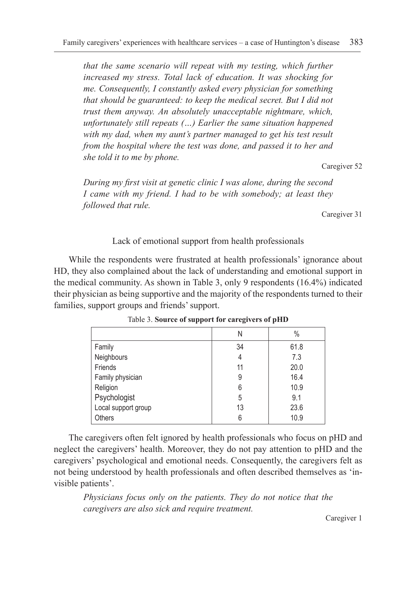*that the same scenario will repeat with my testing, which further increased my stress. Total lack of education. It was shocking for me. Consequently, I constantly asked every physician for something that should be guaranteed: to keep the medical secret. But I did not trust them anyway. An absolutely unacceptable nightmare, which, unfortunately still repeats (…) Earlier the same situation happened with my dad, when my aunt's partner managed to get his test result from the hospital where the test was done, and passed it to her and she told it to me by phone.*

Caregiver 52

*During my first visit at genetic clinic I was alone, during the second I came with my friend. I had to be with somebody; at least they followed that rule.*

Caregiver 31

## Lack of emotional support from health professionals

While the respondents were frustrated at health professionals' ignorance about HD, they also complained about the lack of understanding and emotional support in the medical community. As shown in Table 3, only 9 respondents (16.4%) indicated their physician as being supportive and the majority of the respondents turned to their families, support groups and friends' support.

|                     | Ν  | $\frac{0}{0}$ |
|---------------------|----|---------------|
| Family              | 34 | 61.8          |
| Neighbours          | 4  | 7.3           |
| Friends             | 11 | 20.0          |
| Family physician    | 9  | 16.4          |
| Religion            | 6  | 10.9          |
| Psychologist        | 5  | 9.1           |
| Local support group | 13 | 23.6          |
| <b>Others</b>       | 6  | 10.9          |

Table 3. **Source of support for caregivers of pHD**

The caregivers often felt ignored by health professionals who focus on pHD and neglect the caregivers' health. Moreover, they do not pay attention to pHD and the caregivers' psychological and emotional needs. Consequently, the caregivers felt as not being understood by health professionals and often described themselves as 'invisible patients'.

*Physicians focus only on the patients. They do not notice that the caregivers are also sick and require treatment.*

Caregiver 1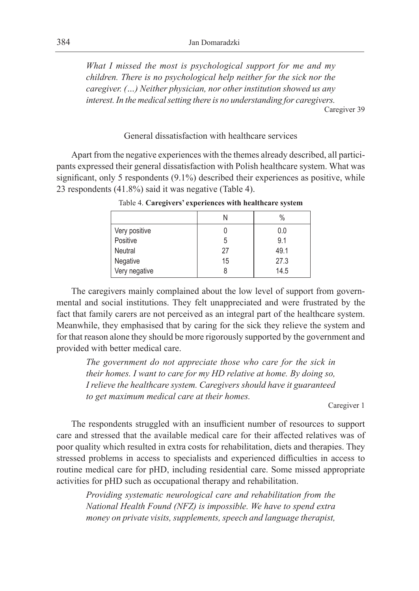*What I missed the most is psychological support for me and my children. There is no psychological help neither for the sick nor the caregiver. (…) Neither physician, nor other institution showed us any interest. In the medical setting there is no understanding for caregivers.* Caregiver 39

# General dissatisfaction with healthcare services

Apart from the negative experiences with the themes already described, all participants expressed their general dissatisfaction with Polish healthcare system. What was significant, only 5 respondents (9.1%) described their experiences as positive, while 23 respondents (41.8%) said it was negative (Table 4).

|               |    | $\%$ |
|---------------|----|------|
| Very positive |    | 0.0  |
| Positive      | 5  | 9.1  |
| Neutral       | 27 | 49.1 |
| Negative      | 15 | 27.3 |
| Very negative |    | 14.5 |

Table 4. **Caregivers' experiences with healthcare system**

The caregivers mainly complained about the low level of support from governmental and social institutions. They felt unappreciated and were frustrated by the fact that family carers are not perceived as an integral part of the healthcare system. Meanwhile, they emphasised that by caring for the sick they relieve the system and for that reason alone they should be more rigorously supported by the government and provided with better medical care.

*The government do not appreciate those who care for the sick in their homes. I want to care for my HD relative at home. By doing so, I relieve the healthcare system. Caregivers should have it guaranteed to get maximum medical care at their homes.*

Caregiver 1

The respondents struggled with an insufficient number of resources to support care and stressed that the available medical care for their affected relatives was of poor quality which resulted in extra costs for rehabilitation, diets and therapies. They stressed problems in access to specialists and experienced difficulties in access to routine medical care for pHD, including residential care. Some missed appropriate activities for pHD such as occupational therapy and rehabilitation.

*Providing systematic neurological care and rehabilitation from the National Health Found (NFZ) is impossible. We have to spend extra money on private visits, supplements, speech and language therapist,*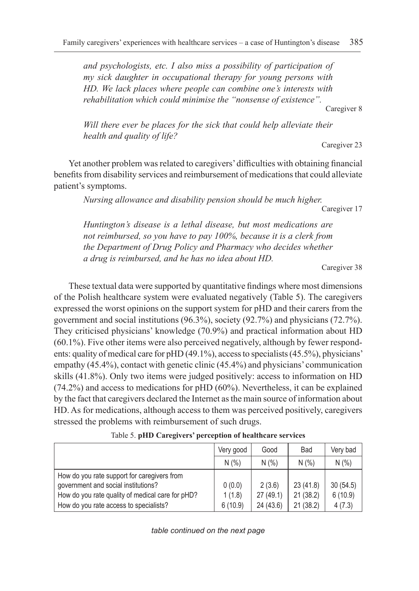*and psychologists, etc. I also miss a possibility of participation of my sick daughter in occupational therapy for young persons with HD. We lack places where people can combine one's interests with rehabilitation which could minimise the "nonsense of existence".*

Caregiver 8

*Will there ever be places for the sick that could help alleviate their health and quality of life?*

Caregiver 23

Yet another problem was related to caregivers' difficulties with obtaining financial benefits from disability services and reimbursement of medications that could alleviate patient's symptoms.

*Nursing allowance and disability pension should be much higher.*

Caregiver 17

*Huntington's disease is a lethal disease, but most medications are not reimbursed, so you have to pay 100%, because it is a clerk from the Department of Drug Policy and Pharmacy who decides whether a drug is reimbursed, and he has no idea about HD.*

Caregiver 38

These textual data were supported by quantitative findings where most dimensions of the Polish healthcare system were evaluated negatively (Table 5). The caregivers expressed the worst opinions on the support system for pHD and their carers from the government and social institutions (96.3%), society (92.7%) and physicians (72.7%). They criticised physicians' knowledge (70.9%) and practical information about HD (60.1%). Five other items were also perceived negatively, although by fewer respondents: quality of medical care for pHD (49.1%), access to specialists (45.5%), physicians' empathy (45.4%), contact with genetic clinic (45.4%) and physicians' communication skills (41.8%). Only two items were judged positively: access to information on HD (74.2%) and access to medications for pHD (60%). Nevertheless, it can be explained by the fact that caregivers declared the Internet as the main source of information about HD. As for medications, although access to them was perceived positively, caregivers stressed the problems with reimbursement of such drugs.

|                                                                                                                                                                                  | Very good                   | Good                            | Bad                               | Very bad                      |
|----------------------------------------------------------------------------------------------------------------------------------------------------------------------------------|-----------------------------|---------------------------------|-----------------------------------|-------------------------------|
|                                                                                                                                                                                  | N(% )                       | N(% )                           | N(% )                             | N(% )                         |
| How do you rate support for caregivers from<br>qovernment and social institutions?<br>How do you rate quality of medical care for pHD?<br>How do you rate access to specialists? | 0(0.0)<br>1(1.8)<br>6(10.9) | 2(3.6)<br>27(49.1)<br>24 (43.6) | 23 (41.8)<br>21(38.2)<br>21(38.2) | 30(54.5)<br>6(10.9)<br>4(7.3) |

Table 5. **pHD Caregivers' perception of healthcare services**

*table continued on the next page*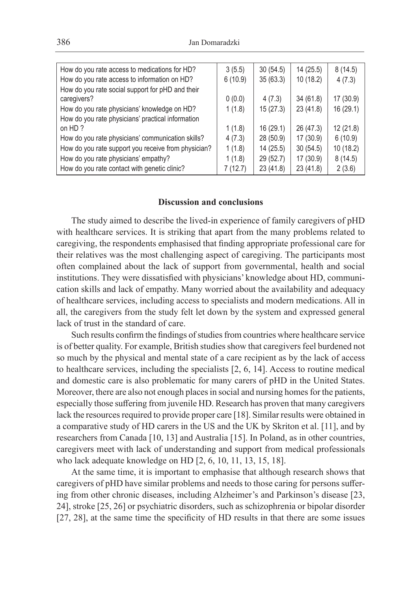| How do you rate access to medications for HD?       | 3(5.5)  | 30(54.5)  | 14 (25.5) | 8(14.5)   |
|-----------------------------------------------------|---------|-----------|-----------|-----------|
| How do you rate access to information on HD?        | 6(10.9) | 35(63.3)  | 10(18.2)  | 4(7.3)    |
| How do you rate social support for pHD and their    |         |           |           |           |
| caregivers?                                         | 0(0.0)  | 4(7.3)    | 34 (61.8) | 17 (30.9) |
| How do you rate physicians' knowledge on HD?        | 1(1.8)  | 15(27.3)  | 23(41.8)  | 16(29.1)  |
| How do you rate physicians' practical information   |         |           |           |           |
| on HD?                                              | 1(1.8)  | 16 (29.1) | 26 (47.3) | 12(21.8)  |
| How do you rate physicians' communication skills?   | 4(7.3)  | 28 (50.9) | 17(30.9)  | 6(10.9)   |
| How do you rate support you receive from physician? | 1(1.8)  | 14(25.5)  | 30(54.5)  | 10 (18.2) |
| How do you rate physicians' empathy?                | 1(1.8)  | 29 (52.7) | 17(30.9)  | 8(14.5)   |
| How do you rate contact with genetic clinic?        | 7(12.7) | 23 (41.8) | 23 (41.8) | 2(3.6)    |

# **Discussion and conclusions**

The study aimed to describe the lived-in experience of family caregivers of pHD with healthcare services. It is striking that apart from the many problems related to caregiving, the respondents emphasised that finding appropriate professional care for their relatives was the most challenging aspect of caregiving. The participants most often complained about the lack of support from governmental, health and social institutions. They were dissatisfied with physicians' knowledge about HD, communication skills and lack of empathy. Many worried about the availability and adequacy of healthcare services, including access to specialists and modern medications. All in all, the caregivers from the study felt let down by the system and expressed general lack of trust in the standard of care.

Such results confirm the findings of studies from countries where healthcare service is of better quality. For example, British studies show that caregivers feel burdened not so much by the physical and mental state of a care recipient as by the lack of access to healthcare services, including the specialists  $[2, 6, 14]$ . Access to routine medical and domestic care is also problematic for many carers of pHD in the United States. Moreover, there are also not enough places in social and nursing homes for the patients, especially those suffering from juvenile HD. Research has proven that many caregivers lack the resources required to provide proper care [18]. Similar results were obtained in a comparative study of HD carers in the US and the UK by Skriton et al. [11], and by researchers from Canada [10, 13] and Australia [15]. In Poland, as in other countries, caregivers meet with lack of understanding and support from medical professionals who lack adequate knowledge on HD [2, 6, 10, 11, 13, 15, 18].

At the same time, it is important to emphasise that although research shows that caregivers of pHD have similar problems and needs to those caring for persons suffering from other chronic diseases, including Alzheimer's and Parkinson's disease [23, 24], stroke [25, 26] or psychiatric disorders, such as schizophrenia or bipolar disorder [27, 28], at the same time the specificity of HD results in that there are some issues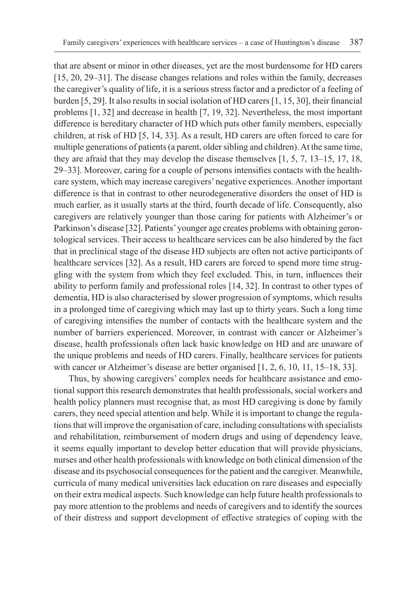that are absent or minor in other diseases, yet are the most burdensome for HD carers [15, 20, 29–31]. The disease changes relations and roles within the family, decreases the caregiver's quality of life, it is a serious stress factor and a predictor of a feeling of burden [5, 29]. It also results in social isolation of HD carers [1, 15, 30], their financial problems [1, 32] and decrease in health [7, 19, 32]. Nevertheless, the most important difference is hereditary character of HD which puts other family members, especially children, at risk of HD [5, 14, 33]. As a result, HD carers are often forced to care for multiple generations of patients (a parent, older sibling and children). At the same time, they are afraid that they may develop the disease themselves [1, 5, 7, 13–15, 17, 18, 29–33]. Moreover, caring for a couple of persons intensifies contacts with the healthcare system, which may increase caregivers' negative experiences. Another important difference is that in contrast to other neurodegenerative disorders the onset of HD is much earlier, as it usually starts at the third, fourth decade of life. Consequently, also caregivers are relatively younger than those caring for patients with Alzheimer's or Parkinson's disease [32]. Patients' younger age creates problems with obtaining gerontological services. Their access to healthcare services can be also hindered by the fact that in preclinical stage of the disease HD subjects are often not active participants of healthcare services [32]. As a result, HD carers are forced to spend more time struggling with the system from which they feel excluded. This, in turn, influences their ability to perform family and professional roles [14, 32]. In contrast to other types of dementia, HD is also characterised by slower progression of symptoms, which results in a prolonged time of caregiving which may last up to thirty years. Such a long time of caregiving intensifies the number of contacts with the healthcare system and the number of barriers experienced. Moreover, in contrast with cancer or Alzheimer's disease, health professionals often lack basic knowledge on HD and are unaware of the unique problems and needs of HD carers. Finally, healthcare services for patients with cancer or Alzheimer's disease are better organised [1, 2, 6, 10, 11, 15–18, 33].

Thus, by showing caregivers' complex needs for healthcare assistance and emotional support this research demonstrates that health professionals, social workers and health policy planners must recognise that, as most HD caregiving is done by family carers, they need special attention and help. While it is important to change the regulations that will improve the organisation of care, including consultations with specialists and rehabilitation, reimbursement of modern drugs and using of dependency leave, it seems equally important to develop better education that will provide physicians, nurses and other health professionals with knowledge on both clinical dimension of the disease and its psychosocial consequences for the patient and the caregiver. Meanwhile, curricula of many medical universities lack education on rare diseases and especially on their extra medical aspects. Such knowledge can help future health professionals to pay more attention to the problems and needs of caregivers and to identify the sources of their distress and support development of effective strategies of coping with the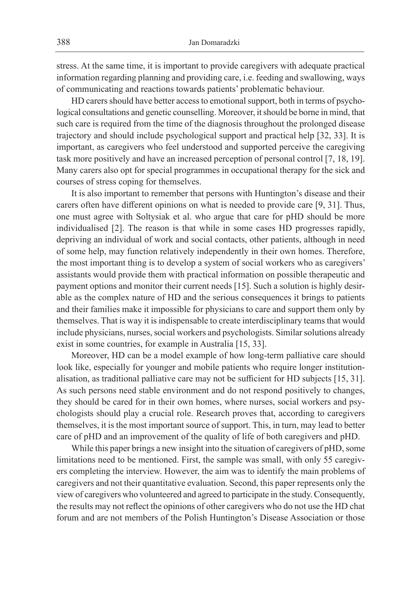stress. At the same time, it is important to provide caregivers with adequate practical information regarding planning and providing care, i.e. feeding and swallowing, ways of communicating and reactions towards patients' problematic behaviour.

HD carers should have better access to emotional support, both in terms of psychological consultations and genetic counselling. Moreover, it should be borne in mind, that such care is required from the time of the diagnosis throughout the prolonged disease trajectory and should include psychological support and practical help [32, 33]. It is important, as caregivers who feel understood and supported perceive the caregiving task more positively and have an increased perception of personal control [7, 18, 19]. Many carers also opt for special programmes in occupational therapy for the sick and courses of stress coping for themselves.

It is also important to remember that persons with Huntington's disease and their carers often have different opinions on what is needed to provide care [9, 31]. Thus, one must agree with Soltysiak et al. who argue that care for pHD should be more individualised [2]. The reason is that while in some cases HD progresses rapidly, depriving an individual of work and social contacts, other patients, although in need of some help, may function relatively independently in their own homes. Therefore, the most important thing is to develop a system of social workers who as caregivers' assistants would provide them with practical information on possible therapeutic and payment options and monitor their current needs [15]. Such a solution is highly desirable as the complex nature of HD and the serious consequences it brings to patients and their families make it impossible for physicians to care and support them only by themselves. That is way it is indispensable to create interdisciplinary teams that would include physicians, nurses, social workers and psychologists. Similar solutions already exist in some countries, for example in Australia [15, 33].

Moreover, HD can be a model example of how long-term palliative care should look like, especially for younger and mobile patients who require longer institutionalisation, as traditional palliative care may not be sufficient for HD subjects [15, 31]. As such persons need stable environment and do not respond positively to changes, they should be cared for in their own homes, where nurses, social workers and psychologists should play a crucial role. Research proves that, according to caregivers themselves, it is the most important source of support. This, in turn, may lead to better care of pHD and an improvement of the quality of life of both caregivers and pHD.

While this paper brings a new insight into the situation of caregivers of pHD, some limitations need to be mentioned. First, the sample was small, with only 55 caregivers completing the interview. However, the aim was to identify the main problems of caregivers and not their quantitative evaluation. Second, this paper represents only the view of caregivers who volunteered and agreed to participate in the study. Consequently, the results may not reflect the opinions of other caregivers who do not use the HD chat forum and are not members of the Polish Huntington's Disease Association or those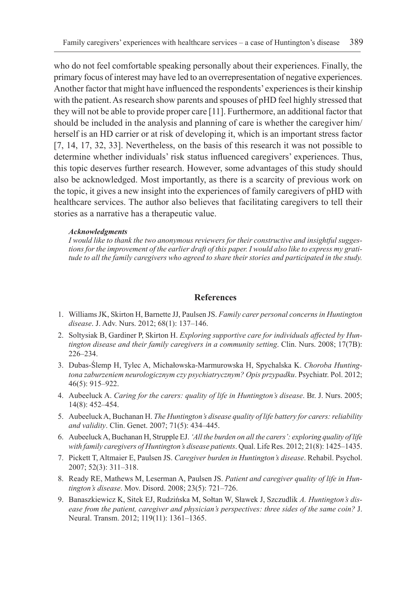who do not feel comfortable speaking personally about their experiences. Finally, the primary focus of interest may have led to an overrepresentation of negative experiences. Another factor that might have influenced the respondents' experiences is their kinship with the patient. As research show parents and spouses of pHD feel highly stressed that they will not be able to provide proper care [11]. Furthermore, an additional factor that should be included in the analysis and planning of care is whether the caregiver him/ herself is an HD carrier or at risk of developing it, which is an important stress factor [7, 14, 17, 32, 33]. Nevertheless, on the basis of this research it was not possible to determine whether individuals' risk status influenced caregivers' experiences. Thus, this topic deserves further research. However, some advantages of this study should also be acknowledged. Most importantly, as there is a scarcity of previous work on the topic, it gives a new insight into the experiences of family caregivers of pHD with healthcare services. The author also believes that facilitating caregivers to tell their stories as a narrative has a therapeutic value.

#### *Acknowledgments*

*I would like to thank the two anonymous reviewers for their constructive and insightful suggestions for the improvement of the earlier draft of this paper. I would also like to express my gratitude to all the family caregivers who agreed to share their stories and participated in the study.*

## **References**

- 1. Williams JK, Skirton H, Barnette JJ, Paulsen JS. *Family carer personal concerns in Huntington disease*. J. Adv. Nurs. 2012; 68(1): 137–146.
- 2. Soltysiak B, Gardiner P, Skirton H. *Exploring supportive care for individuals affected by Huntington disease and their family caregivers in a community setting*. Clin. Nurs. 2008; 17(7B): 226–234.
- 3. Dubas-Ślemp H, Tylec A, Michałowska-Marmurowska H, Spychalska K. *Choroba Huntingtona zaburzeniem neurologicznym czy psychiatrycznym? Opis przypadku*. Psychiatr. Pol. 2012; 46(5): 915–922.
- 4. Aubeeluck A. *Caring for the carers: quality of life in Huntington's disease*. Br. J. Nurs. 2005; 14(8): 452–454.
- 5. Aubeeluck A, Buchanan H. *The Huntington's disease quality of life battery for carers: reliability and validity*. Clin. Genet. 2007; 71(5): 434–445.
- 6. Aubeeluck A, Buchanan H, Strupple EJ. *'All the burden on all the carers': exploring quality of life with family caregivers of Huntington's disease patients*. Qual. Life Res. 2012; 21(8): 1425–1435.
- 7. Pickett T, Altmaier E, Paulsen JS. *Caregiver burden in Huntington's disease*. Rehabil. Psychol. 2007; 52(3): 311–318.
- 8. Ready RE, Mathews M, Leserman A, Paulsen JS. *Patient and caregiver quality of life in Huntington's disease*. Mov. Disord. 2008; 23(5): 721–726.
- 9. Banaszkiewicz K, Sitek EJ, Rudzińska M, Sołtan W, Sławek J, Szczudlik *A. Huntington's disease from the patient, caregiver and physician's perspectives: three sides of the same coin?* J. Neural. Transm. 2012; 119(11): 1361–1365.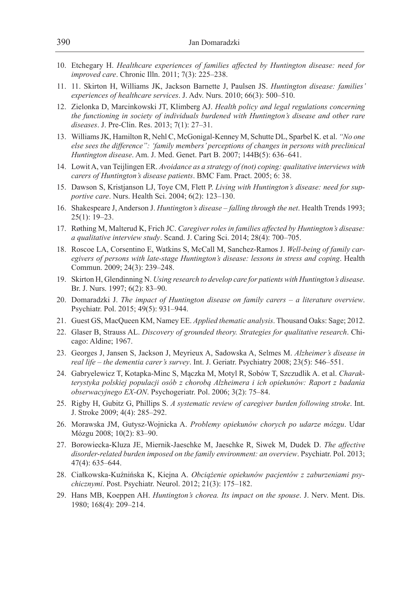- 10. Etchegary H. *Healthcare experiences of families affected by Huntington disease: need for improved care*. Chronic Illn. 2011; 7(3): 225–238.
- 11. 11. Skirton H, Williams JK, Jackson Barnette J, Paulsen JS. *Huntington disease: families' experiences of healthcare services*. J. Adv. Nurs. 2010; 66(3): 500–510.
- 12. Zielonka D, Marcinkowski JT, Klimberg AJ. *Health policy and legal regulations concerning the functioning in society of individuals burdened with Huntington's disease and other rare diseases*. J. Pre-Clin. Res. 2013; 7(1): 27–31.
- 13. Williams JK, Hamilton R, Nehl C, McGonigal-Kenney M, Schutte DL, Sparbel K. et al. *"No one else sees the difference": 'family members' perceptions of changes in persons with preclinical Huntington disease*. Am. J. Med. Genet. Part B. 2007; 144B(5): 636–641.
- 14. Lowit A, van Teijlingen ER. *Avoidance as a strategy of (not) coping: qualitative interviews with carers of Huntington's disease patients*. BMC Fam. Pract. 2005; 6: 38.
- 15. Dawson S, Kristjanson LJ, Toye CM, Flett P. *Living with Huntington's disease: need for supportive care*. Nurs. Health Sci. 2004; 6(2): 123–130.
- 16. Shakespeare J, Anderson J. *Huntington's disease falling through the net*. Health Trends 1993; 25(1): 19–23.
- 17. Røthing M, Malterud K, Frich JC. *Caregiver roles in families affected by Huntington's disease: a qualitative interview study*. Scand. J. Caring Sci. 2014; 28(4): 700–705.
- 18. Roscoe LA, Corsentino E, Watkins S, McCall M, Sanchez-Ramos J. *Well-being of family caregivers of persons with late-stage Huntington's disease: lessons in stress and coping*. Health Commun. 2009; 24(3): 239–248.
- 19. Skirton H, Glendinning N. *Using research to develop care for patients with Huntington's disease*. Br. J. Nurs. 1997; 6(2): 83–90.
- 20. Domaradzki J. *The impact of Huntington disease on family carers a literature overview*. Psychiatr. Pol. 2015; 49(5): 931–944.
- 21. Guest GS, MacQueen KM, Namey EE. *Applied thematic analysis*. Thousand Oaks: Sage; 2012.
- 22. Glaser B, Strauss AL. *Discovery of grounded theory. Strategies for qualitative research*. Chicago: Aldine; 1967.
- 23. Georges J, Jansen S, Jackson J, Meyrieux A, Sadowska A, Selmes M. *Alzheimer's disease in real life – the dementia carer's survey*. Int. J. Geriatr. Psychiatry 2008; 23(5): 546–551.
- 24. Gabryelewicz T, Kotapka-Minc S, Mączka M, Motyl R, Sobów T, Szczudlik A. et al. *Charakterystyka polskiej populacji osób z chorobą Alzheimera i ich opiekunów: Raport z badania obserwacyjnego EX-ON*. Psychogeriatr. Pol. 2006; 3(2): 75–84.
- 25. Rigby H, Gubitz G, Phillips S. *A systematic review of caregiver burden following stroke*. Int. J. Stroke 2009; 4(4): 285–292.
- 26. Morawska JM, Gutysz-Wojnicka A. *Problemy opiekunów chorych po udarze mózgu*. Udar Mózgu 2008; 10(2): 83–90.
- 27. Borowiecka-Kluza JE, Miernik-Jaeschke M, Jaeschke R, Siwek M, Dudek D. *The affective disorder-related burden imposed on the family environment: an overview*. Psychiatr. Pol. 2013; 47(4): 635–644.
- 28. Ciałkowska-Kuźnińska K, Kiejna A. *Obciążenie opiekunów pacjentów z zaburzeniami psychicznymi*. Post. Psychiatr. Neurol. 2012; 21(3): 175–182.
- 29. Hans MB, Koeppen AH. *Huntington's chorea. Its impact on the spouse*. J. Nerv. Ment. Dis. 1980; 168(4): 209–214.